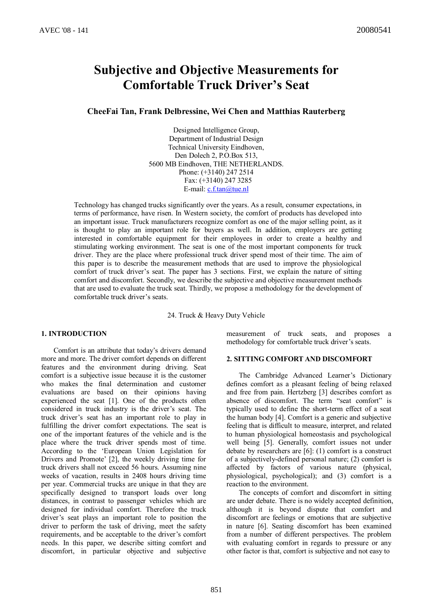# **Subjective and Objective Measurements for Comfortable Truck Driver's Seat**

**CheeFai Tan, Frank Delbressine, Wei Chen and Matthias Rauterberg**

Designed Intelligence Group, Department of Industrial Design Technical University Eindhoven, Den Dolech 2, P.O.Box 513, 5600 MB Eindhoven, THE NETHERLANDS. Phone: (+3140) 247 2514 Fax: (+3140) 247 3285 E-mail: c.f.tan@tue.nl

Technology has changed trucks significantly over the years. As a result, consumer expectations, in terms of performance, have risen. In Western society, the comfort of products has developed into an important issue. Truck manufacturers recognize comfort as one of the major selling point, as it is thought to play an important role for buyers as well. In addition, employers are getting interested in comfortable equipment for their employees in order to create a healthy and stimulating working environment. The seat is one of the most important components for truck driver. They are the place where professional truck driver spend most of their time. The aim of this paper is to describe the measurement methods that are used to improve the physiological comfort of truck driver's seat. The paper has 3 sections. First, we explain the nature of sitting comfort and discomfort. Secondly, we describe the subjective and objective measurement methods that are used to evaluate the truck seat. Thirdly, we propose a methodology for the development of comfortable truck driver's seats.

24. Truck & Heavy Duty Vehicle

#### **1. INTRODUCTION**

Comfort is an attribute that today's drivers demand more and more. The driver comfort depends on different features and the environment during driving. Seat comfort is a subjective issue because it is the customer who makes the final determination and customer evaluations are based on their opinions having experienced the seat [1]. One of the products often considered in truck industry is the driver's seat. The truck driver's seat has an important role to play in fulfilling the driver comfort expectations. The seat is one of the important features of the vehicle and is the place where the truck driver spends most of time. According to the 'European Union Legislation for Drivers and Promote' [2], the weekly driving time for truck drivers shall not exceed 56 hours. Assuming nine weeks of vacation, results in 2408 hours driving time per year. Commercial trucks are unique in that they are specifically designed to transport loads over long distances, in contrast to passenger vehicles which are designed for individual comfort. Therefore the truck driver's seat plays an important role to position the driver to perform the task of driving, meet the safety requirements, and be acceptable to the driver's comfort needs. In this paper, we describe sitting comfort and discomfort, in particular objective and subjective measurement of truck seats, and proposes a methodology for comfortable truck driver's seats.

## **2. SITTING COMFORT AND DISCOMFORT**

The Cambridge Advanced Learner's Dictionary defines comfort as a pleasant feeling of being relaxed and free from pain. Hertzberg [3] describes comfort as absence of discomfort. The term "seat comfort" is typically used to define the short-term effect of a seat the human body [4]. Comfort is a generic and subjective feeling that is difficult to measure, interpret, and related to human physiological homeostasis and psychological well being [5]. Generally, comfort issues not under debate by researchers are [6]: (1) comfort is a construct of a subjectively-defined personal nature; (2) comfort is affected by factors of various nature (physical, physiological, psychological); and (3) comfort is a reaction to the environment.

The concepts of comfort and discomfort in sitting are under debate. There is no widely accepted definition, although it is beyond dispute that comfort and discomfort are feelings or emotions that are subjective in nature [6]. Seating discomfort has been examined from a number of different perspectives. The problem with evaluating comfort in regards to pressure or any other factor is that, comfort is subjective and not easy to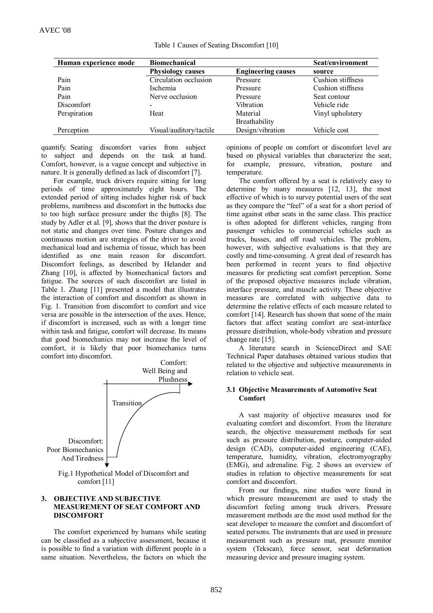|  | Table 1 Causes of Seating Discomfort [10] |  |
|--|-------------------------------------------|--|
|  |                                           |  |

| Human experience mode | <b>Biomechanical</b>     |                           | Seat/environment  |
|-----------------------|--------------------------|---------------------------|-------------------|
|                       | <b>Physiology causes</b> | <b>Engineering causes</b> | source            |
| Pain                  | Circulation occlusion    | Pressure                  | Cushion stiffness |
| Pain                  | <i>Ischemia</i>          | Pressure                  | Cushion stiffness |
| Pain                  | Nerve occlusion          | Pressure                  | Seat contour      |
| <b>Discomfort</b>     | $\,$                     | Vibration                 | Vehicle ride      |
| Perspiration          | Heat                     | Material                  | Vinyl upholstery  |
|                       |                          | Breathability             |                   |
| Perception            | Visual/auditory/tactile  | Design/vibration          | Vehicle cost      |

quantify. Seating discomfort varies from subject to subject and depends on the task at hand. Comfort, however, is a vague concept and subjective in nature. It is generally defined as lack of discomfort [7].

For example, truck drivers require sitting for long periods of time approximately eight hours. The extended period of sitting includes higher risk of back problems, numbness and discomfort in the buttocks due to too high surface pressure under the thighs [8]. The study by Adler et al. [9], shows that the driver posture is not static and changes over time. Posture changes and continuous motion are strategies of the driver to avoid mechanical load and ischemia of tissue, which has been identified as one main reason for discomfort. Discomfort feelings, as described by Helander and Zhang [10], is affected by biomechanical factors and fatigue. The sources of such discomfort are listed in Table 1. Zhang [11] presented a model that illustrates the interaction of comfort and discomfort as shown in Fig. 1. Transition from discomfort to comfort and vice versa are possible in the intersection of the axes. Hence, if discomfort is increased, such as with a longer time within task and fatigue, comfort will decrease. Its means that good biomechanics may not increase the level of comfort, it is likely that poor biomechanics turns comfort into discomfort.



comfort [11]

### **3. OBJECTIVE AND SUBJECTIVE MEASUREMENT OF SEAT COMFORT AND DISCOMFORT**

The comfort experienced by humans while seating can be classified as a subjective assessment, because it is possible to find a variation with different people in a same situation. Nevertheless, the factors on which the opinions of people on comfort or discomfort level are based on physical variables that characterize the seat, for example, pressure, vibration, posture and temperature.

The comfort offered by a seat is relatively easy to determine by many measures [12, 13], the most effective of which is to survey potential users of the seat as they compare the "feel" of a seat for a short period of time against other seats in the same class. This practice is often adopted for different vehicles, ranging from passenger vehicles to commercial vehicles such as trucks, busses, and off road vehicles. The problem, however, with subjective evaluations is that they are costly and time-consuming. A great deal of research has been performed in recent years to find objective measures for predicting seat comfort perception. Some of the proposed objective measures include vibration, interface pressure, and muscle activity. These objective measures are correlated with subjective data to determine the relative effects of each measure related to comfort [14]. Research has shown that some of the main factors that affect seating comfort are seat-interface pressure distribution, whole-body vibration and pressure change rate [15].

A literature search in ScienceDirect and SAE Technical Paper databases obtained various studies that related to the objective and subjective measurements in relation to vehicle seat.

#### **3.1 Objective Measurements of Automotive Seat Comfort**

A vast majority of objective measures used for evaluating comfort and discomfort. From the literature search, the objective measurement methods for seat such as pressure distribution, posture, computer-aided design (CAD), computer-aided engineering (CAE), temperature, humidity, vibration, electromyography (EMG), and adrenaline. Fig. 2 shows an overview of studies in relation to objective measurements for seat comfort and discomfort.

From our findings, nine studies were found in which pressure measurement are used to study the discomfort feeling among truck drivers. Pressure measurement methods are the most used method for the seat developer to measure the comfort and discomfort of seated persons. The instruments that are used in pressure measurement such as pressure mat, pressure monitor system (Tekscan), force sensor, seat deformation measuring device and pressure imaging system.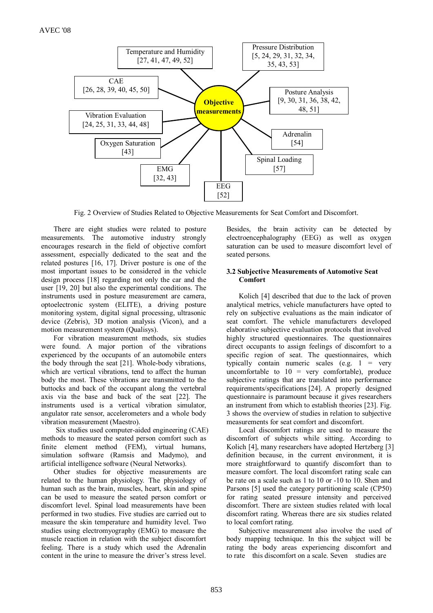

Fig. 2 Overview of Studies Related to Objective Measurements for Seat Comfort and Discomfort.

There are eight studies were related to posture measurements. The automotive industry strongly encourages research in the field of objective comfort assessment, especially dedicated to the seat and the related postures [16, 17]. Driver posture is one of the most important issues to be considered in the vehicle design process [18] regarding not only the car and the user [19, 20] but also the experimental conditions. The instruments used in posture measurement are camera, optoelectronic system (ELITE), a driving posture monitoring system, digital signal processing, ultrasonic device (Zebris), 3D motion analysis (Vicon), and a motion measurement system (Qualisys).

For vibration measurement methods, six studies were found. A major portion of the vibrations experienced by the occupants of an automobile enters the body through the seat [21]. Whole-body vibrations, which are vertical vibrations, tend to affect the human body the most. These vibrations are transmitted to the buttocks and back of the occupant along the vertebral axis via the base and back of the seat [22]. The instruments used is a vertical vibration simulator, angulator rate sensor, accelerometers and a whole body vibration measurement (Maestro).

Six studies used computer-aided engineering (CAE) methods to measure the seated person comfort such as finite element method (FEM), virtual humans, simulation software (Ramsis and Madymo), and artificial intelligence software (Neural Networks).

Other studies for objective measurements are related to the human physiology. The physiology of human such as the brain, muscles, heart, skin and spine can be used to measure the seated person comfort or discomfort level. Spinal load measurements have been performed in two studies. Five studies are carried out to measure the skin temperature and humidity level. Two studies using electromyography (EMG) to measure the muscle reaction in relation with the subject discomfort feeling. There is a study which used the Adrenalin content in the urine to measure the driver's stress level.

Besides, the brain activity can be detected by electroencephalography (EEG) as well as oxygen saturation can be used to measure discomfort level of seated persons.

## **3.2 Subjective Measurements of Automotive Seat Comfort**

Kolich [4] described that due to the lack of proven analytical metrics, vehicle manufacturers have opted to rely on subjective evaluations as the main indicator of seat comfort. The vehicle manufacturers developed elaborative subjective evaluation protocols that involved highly structured questionnaires. The questionnaires direct occupants to assign feelings of discomfort to a specific region of seat. The questionnaires, which typically contain numeric scales  $(e.g. 1 = very$ uncomfortable to  $10 = \text{very comfortable}$ , produce subjective ratings that are translated into performance requirements/specifications [24]. A properly designed questionnaire is paramount because it gives researchers an instrument from which to establish theories [23]. Fig. 3 shows the overview of studies in relation to subjective measurements for seat comfort and discomfort.

Local discomfort ratings are used to measure the discomfort of subjects while sitting. According to Kolich [4], many researchers have adopted Hertzberg [3] definition because, in the current environment, it is more straightforward to quantify discomfort than to measure comfort. The local discomfort rating scale can be rate on a scale such as 1 to 10 or -10 to 10. Shen and Parsons [5] used the category partitioning scale (CP50) for rating seated pressure intensity and perceived discomfort. There are sixteen studies related with local discomfort rating. Whereas there are six studies related to local comfort rating.

Subjective measurement also involve the used of body mapping technique. In this the subject will be rating the body areas experiencing discomfort and to rate this discomfort on a scale. Seven studies are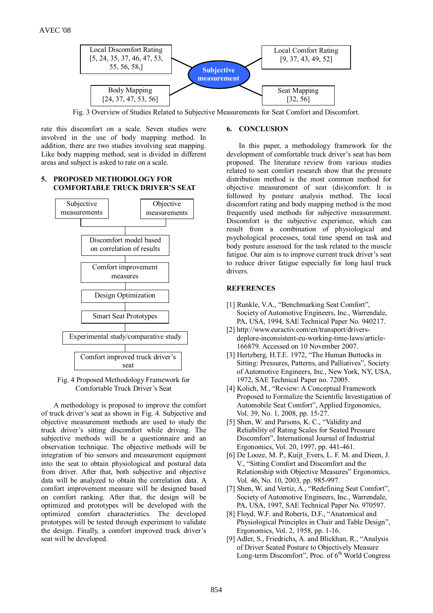

Fig. 3 Overview of Studies Related to Subjective Measurements for Seat Comfort and Discomfort.

rate this discomfort on a scale. Seven studies were involved in the use of body mapping method. In addition, there are two studies involving seat mapping. Like body mapping method, seat is divided in different areas and subject is asked to rate on a scale.

# **5. PROPOSED METHODOLOGY FOR COMFORTABLE TRUCK DRIVER'S SEAT**



Fig. 4 Proposed Methodology Framework for Comfortable Truck Driver's Seat

A methodology is proposed to improve the comfort of truck driver's seat as shown in Fig. 4. Subjective and objective measurement methods are used to study the truck driver's sitting discomfort while driving. The subjective methods will be a questionnaire and an observation technique. The objective methods will be integration of bio sensors and measurement equipment into the seat to obtain physiological and postural data from driver. After that, both subjective and objective data will be analyzed to obtain the correlation data. A comfort improvement measure will be designed based on comfort ranking. After that, the design will be optimized and prototypes will be developed with the optimized comfort characteristics. The developed prototypes will be tested through experiment to validate the design. Finally, a comfort improved truck driver's seat will be developed.

# **6. CONCLUSION**

In this paper, a methodology framework for the development of comfortable truck driver's seat has been proposed. The literature review from various studies related to seat comfort research show that the pressure distribution method is the most common method for objective measurement of seat (dis)comfort. It is followed by posture analysis method. The local discomfort rating and body mapping method is the most frequently used methods for subjective measurement. Discomfort is the subjective experience, which can result from a combination of physiological and psychological processes, total time spend on task and body posture assessed for the task related to the muscle fatigue. Our aim is to improve current truck driver's seat to reduce driver fatigue especially for long haul truck drivers.

# **REFERENCES**

- [1] Runkle, V.A., "Benchmarking Seat Comfort", Society of Automotive Engineers, Inc., Warrendale, PA, USA, 1994, SAE Technical Paper No. 940217.
- [2] http://www.euractiv.com/en/transport/driversdeplore-inconsistent-eu-working-time-laws/article- 166879. Accessed on 10 November 2007.
- [3] Hertzberg, H.T.E. 1972, "The Human Buttocks in Sitting: Pressures, Patterns, and Palliatives", Society of Automotive Engineers, Inc., New York, NY, USA, 1972, SAE Technical Paper no. 72005.
- [4] Kolich, M., "Review: A Conceptual Framework Proposed to Formalize the Scientific Investigation of Automobile Seat Comfort", Applied Ergonomics, Vol. 39, No. 1, 2008, pp. 15-27.
- [5] Shen, W. and Parsons, K. C., "Validity and Reliability of Rating Scales for Seated Pressure Discomfort", International Journal of Industrial Ergonomics, Vol. 20, 1997, pp. 441-461.
- [6] De Looze, M. P., Kuijt\_Evers, L. F. M. and Dieen, J. V., "Sitting Comfort and Discomfort and the Relationship with Objective Measures" Ergonomics, Vol. 46, No. 10, 2003, pp. 985-997.
- [7] Shen, W. and Vertiz, A., "Redefining Seat Comfort", Society of Automotive Engineers, Inc., Warrendale, PA, USA, 1997, SAE Technical Paper No. 970597.
- [8] Floyd, W.F. and Roberts, D.F., "Anatomical and Physiological Principles in Chair and Table Design", Ergonomics, Vol. 2, 1958, pp. 1-16.
- [9] Adler, S., Friedrichs, A. and Blickhan, R., "Analysis of Driver Seated Posture to Objectively Measure Long-term Discomfort", Proc. of 6<sup>th</sup> World Congress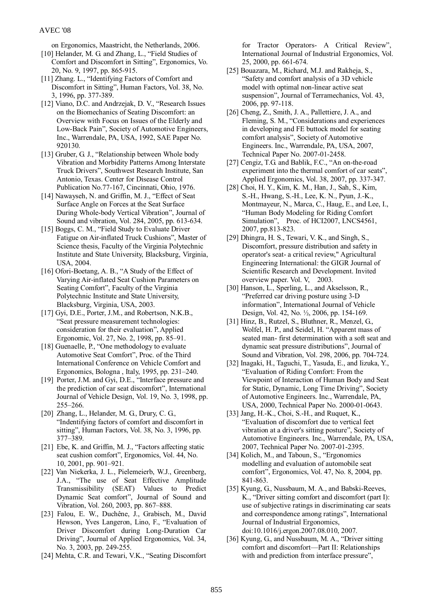# AVEC '08

on Ergonomics, Maastricht, the Netherlands, 2006.

- [10] Helander, M. G. and Zhang, L., "Field Studies of Comfort and Discomfort in Sitting", Ergonomics, Vo. 20, No. 9, 1997, pp. 865-915.
- [11] Zhang. L., "Identifying Factors of Comfort and Discomfort in Sitting", Human Factors, Vol. 38, No. 3, 1996, pp. 377-389.
- [12] Viano, D.C. and Andrzejak, D. V., "Research Issues on the Biomechanics of Seating Discomfort: an Overview with Focus on Issues of the Elderly and Low-Back Pain", Society of Automotive Engineers, Inc., Warrendale, PA, USA, 1992, SAE Paper No. 920130.
- [13] Gruber, G. J., "Relationship between Whole body Vibration and Morbidity Patterns Among Interstate Truck Drivers", Southwest Research Institute, San Antonio, Texas. Center for Disease Control Publication No.77-167, Cincinnati, Ohio, 1976.
- [14] Nawayseh, N. and Griffin, M. J., "Effect of Seat Surface Angle on Forces at the Seat Surface During Whole-body Vertical Vibration", Journal of Sound and vibration, Vol. 284, 2005, pp. 613-634.
- [15] Boggs, C. M., "Field Study to Evaluate Driver Fatigue on Air-inflated Truck Cushions", Master of Science thesis, Faculty of the Virginia Polytechnic Institute and State University, Blacksburg, Virginia, USA, 2004.
- [16] Ofori-Boetang, A. B., "A Study of the Effect of Varying Air-inflated Seat Cushion Parameters on Seating Comfort", Faculty of the Virginia Polytechnic Institute and State University, Blacksburg, Virginia, USA, 2003.
- [17] Gyi, D.E., Porter, J.M., and Robertson, N.K.B., "Seat pressure measurement technologies: consideration for their evaluation", Applied Ergonomic, Vol. 27, No. 2, 1998, pp. 85–91.
- [18] Guenaelle, P., "One methodology to evaluate Automotive Seat Comfort", Proc. of the Third International Conference on Vehicle Comfort and Ergonomics, Bologna , Italy, 1995, pp. 231–240.
- [19] Porter, J.M. and Gyi, D.E., "Interface pressure and the prediction of car seat discomfort", International Journal of Vehicle Design, Vol. 19, No. 3, 1998, pp. 255–266.
- [20] Zhang, L., Helander, M. G., Drury, C. G., "Indentifying factors of comfort and discomfort in sitting", Human Factors, Vol. 38, No. 3, 1996, pp. 377–389.
- [21] Ebe, K. and Griffin, M. J., "Factors affecting static seat cushion comfort", Ergonomics, Vol. 44, No. 10, 2001, pp. 901–921.
- [22] Van Niekerka, J. L., Pielemeierb, W.J., Greenberg, J.A., "The use of Seat Effective Amplitude Transmissibility (SEAT) Values to Predict Dynamic Seat comfort", Journal of Sound and Vibration, Vol. 260, 2003, pp. 867–888.
- [23] Falou, E. W., Duchêne, J., Grabisch, M., David Hewson, Yves Langeron, Lino, F., "Evaluation of Driver Discomfort during Long-Duration Car Driving", Journal of Applied Ergonomics, Vol. 34, No. 3, 2003, pp. 249-255.
- [24] Mehta, C.R. and Tewari, V.K., "Seating Discomfort

for Tractor Operators- A Critical Review", International Journal of Industrial Ergonomics, Vol. 25, 2000, pp. 661-674.

- [25] Bouazara, M., Richard, M.J. and Rakheja, S., "Safety and comfort analysis of a 3D vehicle model with optimal non-linear active seat suspension", Journal of Terramechanics, Vol. 43, 2006, pp. 97-118.
- [26] Cheng, Z., Smith, J. A., Pallettiere, J. A., and Fleming, S. M., "Considerations and experiences in developing and FE buttock model for seating comfort analysis", Society of Automotive Engineers. Inc., Warrendale, PA, USA, 2007, Technical Paper No. 2007-01-2458.
- [27] Cengiz, T.G. and Bablik, F.C., "An on-the-road experiment into the thermal comfort of car seats", Applied Ergonomics, Vol. 38, 2007, pp. 337-347.
- [28] Choi, H. Y., Kim, K. M., Han, J., Sah, S., Kim, S.-H., Hwang, S.-H., Lee, K. N., Pyun, J.-K., Montmayeur, N., Marca, C., Haug, E., and Lee, I., "Human Body Modeling for Riding Comfort Simulation", Proc. of HCI2007, LNCS4561, 2007, pp.813-823.
- [29] Dhingra, H. S., Tewari, V. K., and Singh, S., Discomfort, pressure distribution and safety in operator's seat- a critical review," Agricultural Engineering International: the GIGR Journal of Scientific Research and Development. Invited overview paper. Vol. V, 2003.
- [30] Hanson, L., Sperling, L., and Akselsson, R., "Preferred car driving posture using 3-D information", International Journal of Vehicle Design, Vol. 42, No. ½, 2006, pp. 154-169.
- [31] Hinz, B., Rutzel, S., Bluthner, R., Menzel, G., Wolfel, H. P., and Seidel, H. "Apparent mass of seated man- first determination with a soft seat and dynamic seat pressure distributions", Journal of Sound and Vibration, Vol. 298, 2006, pp. 704-724.
- [32] Inagaki, H., Taguchi, T., Yasuda, E., and Iizuka, Y., "Evaluation of Riding Comfort: From the Viewpoint of Interaction of Human Body and Seat for Static, Dynamic, Long Time Driving", Society of Automotive Engineers. Inc., Warrendale, PA, USA, 2000, Technical Paper No. 2000-01-0643.
- [33] Jang, H.-K., Choi, S.-H., and Ruquet, K., "Evaluation of discomfort due to vertical feet vibration at a driver's sitting posture", Society of Automotive Engineers. Inc., Warrendale, PA, USA, 2007, Technical Paper No. 2007-01-2395.
- [34] Kolich, M., and Taboun, S., "Ergonomics" modelling and evaluation of automobile seat comfort", Ergonomics, Vol. 47, No. 8, 2004, pp. 841-863.
- [35] Kyung, G., Nussbaum, M. A., and Babski-Reeves, K., "Driver sitting comfort and discomfort (part I): use of subjective ratings in discriminating car seats and correspondence among ratings", International Journal of Industrial Ergonomics, doi:10.1016/j.ergon.2007.08.010, 2007.
- [36] Kyung, G., and Nussbaum, M. A., "Driver sitting comfort and discomfort—Part II: Relationships with and prediction from interface pressure",